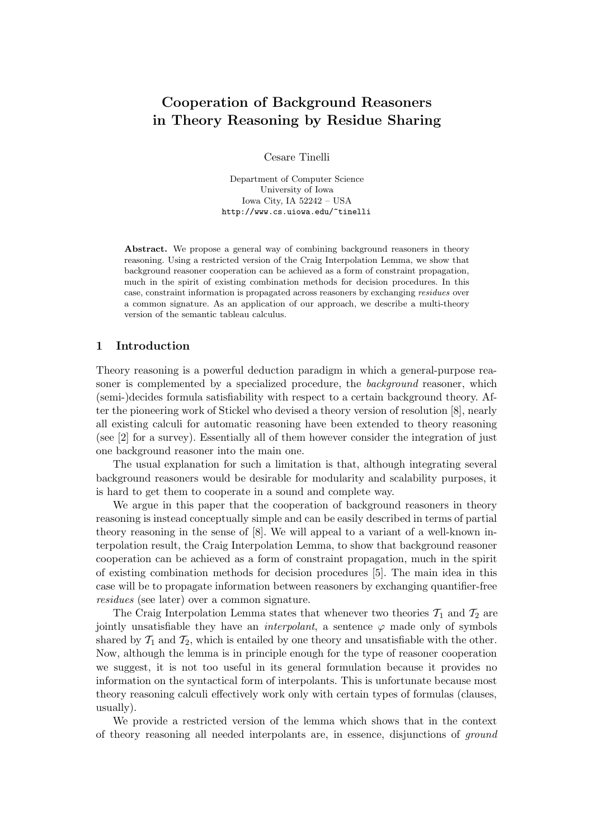# Cooperation of Background Reasoners in Theory Reasoning by Residue Sharing

Cesare Tinelli

Department of Computer Science University of Iowa Iowa City, IA 52242 – USA http://www.cs.uiowa.edu/~tinelli

Abstract. We propose a general way of combining background reasoners in theory reasoning. Using a restricted version of the Craig Interpolation Lemma, we show that background reasoner cooperation can be achieved as a form of constraint propagation, much in the spirit of existing combination methods for decision procedures. In this case, constraint information is propagated across reasoners by exchanging residues over a common signature. As an application of our approach, we describe a multi-theory version of the semantic tableau calculus.

### 1 Introduction

Theory reasoning is a powerful deduction paradigm in which a general-purpose reasoner is complemented by a specialized procedure, the background reasoner, which (semi-)decides formula satisfiability with respect to a certain background theory. After the pioneering work of Stickel who devised a theory version of resolution [8], nearly all existing calculi for automatic reasoning have been extended to theory reasoning (see [2] for a survey). Essentially all of them however consider the integration of just one background reasoner into the main one.

The usual explanation for such a limitation is that, although integrating several background reasoners would be desirable for modularity and scalability purposes, it is hard to get them to cooperate in a sound and complete way.

We argue in this paper that the cooperation of background reasoners in theory reasoning is instead conceptually simple and can be easily described in terms of partial theory reasoning in the sense of [8]. We will appeal to a variant of a well-known interpolation result, the Craig Interpolation Lemma, to show that background reasoner cooperation can be achieved as a form of constraint propagation, much in the spirit of existing combination methods for decision procedures [5]. The main idea in this case will be to propagate information between reasoners by exchanging quantifier-free residues (see later) over a common signature.

The Craig Interpolation Lemma states that whenever two theories  $\mathcal{T}_1$  and  $\mathcal{T}_2$  are jointly unsatisfiable they have an *interpolant*, a sentence  $\varphi$  made only of symbols shared by  $\mathcal{T}_1$  and  $\mathcal{T}_2$ , which is entailed by one theory and unsatisfiable with the other. Now, although the lemma is in principle enough for the type of reasoner cooperation we suggest, it is not too useful in its general formulation because it provides no information on the syntactical form of interpolants. This is unfortunate because most theory reasoning calculi effectively work only with certain types of formulas (clauses, usually).

We provide a restricted version of the lemma which shows that in the context of theory reasoning all needed interpolants are, in essence, disjunctions of ground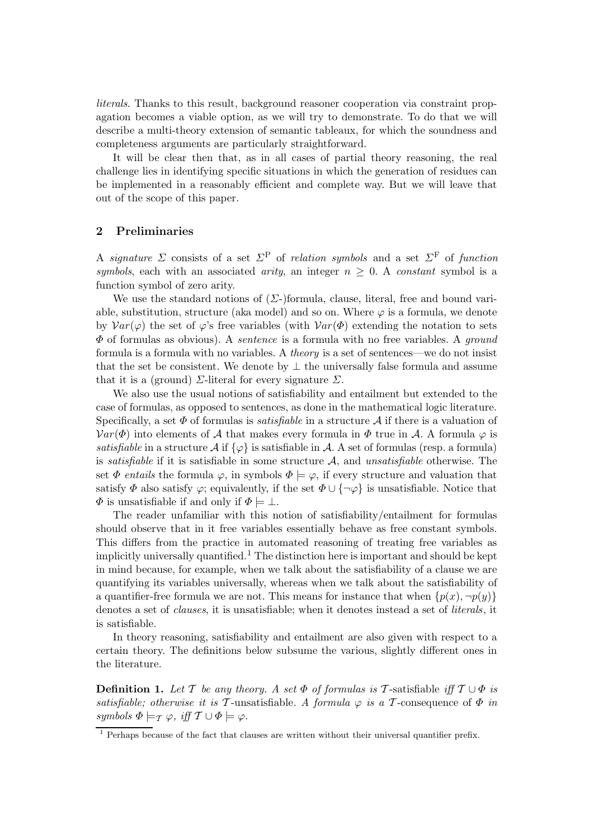literals. Thanks to this result, background reasoner cooperation via constraint propagation becomes a viable option, as we will try to demonstrate. To do that we will describe a multi-theory extension of semantic tableaux, for which the soundness and completeness arguments are particularly straightforward.

It will be clear then that, as in all cases of partial theory reasoning, the real challenge lies in identifying specific situations in which the generation of residues can be implemented in a reasonably efficient and complete way. But we will leave that out of the scope of this paper.

## 2 Preliminaries

A signature  $\Sigma$  consists of a set  $\Sigma^{\rm P}$  of relation symbols and a set  $\Sigma^{\rm F}$  of function symbols, each with an associated arity, an integer  $n \geq 0$ . A constant symbol is a function symbol of zero arity.

We use the standard notions of  $(\Sigma)$ -formula, clause, literal, free and bound variable, substitution, structure (aka model) and so on. Where  $\varphi$  is a formula, we denote by  $Var(\varphi)$  the set of  $\varphi$ 's free variables (with  $Var(\Phi)$  extending the notation to sets  $\Phi$  of formulas as obvious). A *sentence* is a formula with no free variables. A *ground* formula is a formula with no variables. A theory is a set of sentences—we do not insist that the set be consistent. We denote by  $\bot$  the universally false formula and assume that it is a (ground)  $\Sigma$ -literal for every signature  $\Sigma$ .

We also use the usual notions of satisfiability and entailment but extended to the case of formulas, as opposed to sentences, as done in the mathematical logic literature. Specifically, a set  $\Phi$  of formulas is *satisfiable* in a structure A if there is a valuation of  $Var(\Phi)$  into elements of A that makes every formula in  $\Phi$  true in A. A formula  $\varphi$  is satisfiable in a structure  $\mathcal{A}$  if  $\{\varphi\}$  is satisfiable in  $\mathcal{A}$ . A set of formulas (resp. a formula) is *satisfiable* if it is satisfiable in some structure  $A$ , and *unsatisfiable* otherwise. The set  $\Phi$  entails the formula  $\varphi$ , in symbols  $\Phi \models \varphi$ , if every structure and valuation that satisfy  $\Phi$  also satisfy  $\varphi$ ; equivalently, if the set  $\Phi \cup {\neg \varphi}$  is unsatisfiable. Notice that  $\Phi$  is unsatisfiable if and only if  $\Phi \models \bot$ .

The reader unfamiliar with this notion of satisfiability/entailment for formulas should observe that in it free variables essentially behave as free constant symbols. This differs from the practice in automated reasoning of treating free variables as implicitly universally quantified.<sup>1</sup> The distinction here is important and should be kept in mind because, for example, when we talk about the satisfiability of a clause we are quantifying its variables universally, whereas when we talk about the satisfiability of a quantifier-free formula we are not. This means for instance that when  $\{p(x), \neg p(y)\}$ denotes a set of *clauses*, it is unsatisfiable; when it denotes instead a set of *literals*, it is satisfiable.

In theory reasoning, satisfiability and entailment are also given with respect to a certain theory. The definitions below subsume the various, slightly different ones in the literature.

**Definition 1.** Let T be any theory. A set  $\Phi$  of formulas is T-satisfiable iff  $T \cup \Phi$  is satisfiable; otherwise it is T-unsatisfiable. A formula  $\varphi$  is a T-consequence of  $\Phi$  in symbols  $\Phi \models_{\mathcal{T}} \varphi$ , iff  $\mathcal{T} \cup \Phi \models \varphi$ .

<sup>&</sup>lt;sup>1</sup> Perhaps because of the fact that clauses are written without their universal quantifier prefix.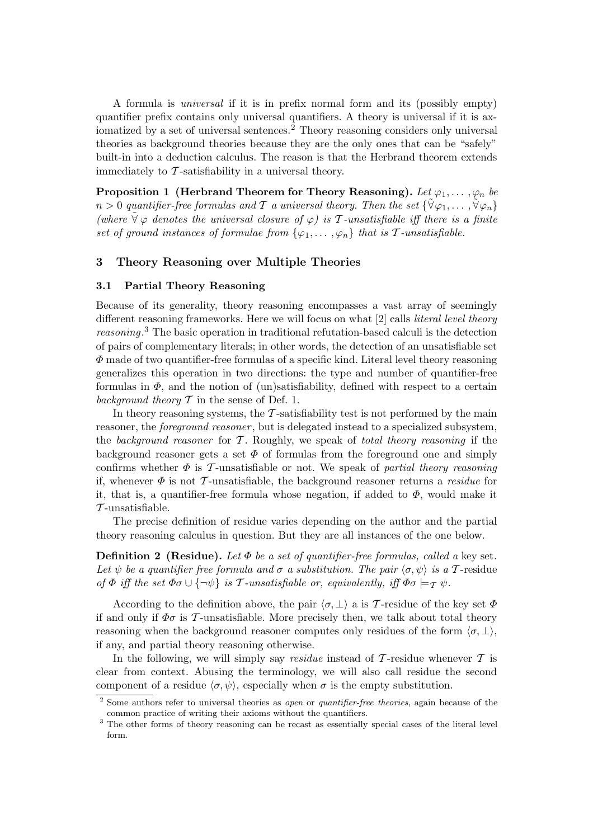A formula is universal if it is in prefix normal form and its (possibly empty) quantifier prefix contains only universal quantifiers. A theory is universal if it is axiomatized by a set of universal sentences.<sup>2</sup> Theory reasoning considers only universal theories as background theories because they are the only ones that can be "safely" built-in into a deduction calculus. The reason is that the Herbrand theorem extends immediately to  $\mathcal T$ -satisfiability in a universal theory.

Proposition 1 (Herbrand Theorem for Theory Reasoning). Let  $\varphi_1, \ldots, \varphi_n$  be  $n > 0$  quantifier-free formulas and T a universal theory. Then the set  $\{\forall \varphi_1, \ldots, \forall \varphi_n\}$ (where  $\forall \varphi$  denotes the universal closure of  $\varphi$ ) is T-unsatisfiable iff there is a finite set of ground instances of formulae from  $\{\varphi_1, \ldots, \varphi_n\}$  that is T-unsatisfiable.

### 3 Theory Reasoning over Multiple Theories

#### 3.1 Partial Theory Reasoning

Because of its generality, theory reasoning encompasses a vast array of seemingly different reasoning frameworks. Here we will focus on what [2] calls literal level theory reasoning.<sup>3</sup> The basic operation in traditional refutation-based calculi is the detection of pairs of complementary literals; in other words, the detection of an unsatisfiable set  $\Phi$  made of two quantifier-free formulas of a specific kind. Literal level theory reasoning generalizes this operation in two directions: the type and number of quantifier-free formulas in  $\Phi$ , and the notion of (un)satisfiability, defined with respect to a certain background theory  $\mathcal T$  in the sense of Def. 1.

In theory reasoning systems, the  $\mathcal T$ -satisfiability test is not performed by the main reasoner, the *foreground reasoner*, but is delegated instead to a specialized subsystem, the background reasoner for  $T$ . Roughly, we speak of total theory reasoning if the background reasoner gets a set  $\Phi$  of formulas from the foreground one and simply confirms whether  $\Phi$  is T-unsatisfiable or not. We speak of partial theory reasoning if, whenever  $\Phi$  is not T-unsatisfiable, the background reasoner returns a *residue* for it, that is, a quantifier-free formula whose negation, if added to  $\Phi$ , would make it  $\mathcal T$ -unsatisfiable.

The precise definition of residue varies depending on the author and the partial theory reasoning calculus in question. But they are all instances of the one below.

**Definition 2** (Residue). Let  $\Phi$  be a set of quantifier-free formulas, called a key set. Let  $\psi$  be a quantifier free formula and  $\sigma$  a substitution. The pair  $\langle \sigma, \psi \rangle$  is a T-residue of  $\Phi$  iff the set  $\Phi \sigma \cup {\neg \psi}$  is T-unsatisfiable or, equivalently, iff  $\Phi \sigma \models_{\mathcal{T}} \psi$ .

According to the definition above, the pair  $\langle \sigma, \perp \rangle$  a is T-residue of the key set  $\Phi$ if and only if  $\Phi \sigma$  is T-unsatisfiable. More precisely then, we talk about total theory reasoning when the background reasoner computes only residues of the form  $\langle \sigma, \perp \rangle$ , if any, and partial theory reasoning otherwise.

In the following, we will simply say *residue* instead of  $\mathcal{T}$ -residue whenever  $\mathcal{T}$  is clear from context. Abusing the terminology, we will also call residue the second component of a residue  $\langle \sigma, \psi \rangle$ , especially when  $\sigma$  is the empty substitution.

 $\frac{2}{3}$  Some authors refer to universal theories as open or quantifier-free theories, again because of the common practice of writing their axioms without the quantifiers.

<sup>&</sup>lt;sup>3</sup> The other forms of theory reasoning can be recast as essentially special cases of the literal level form.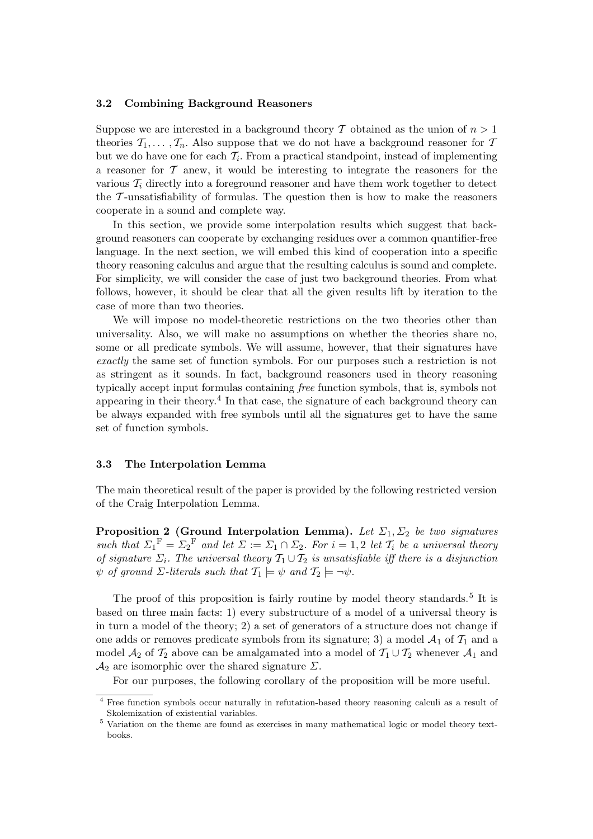#### 3.2 Combining Background Reasoners

Suppose we are interested in a background theory T obtained as the union of  $n > 1$ theories  $\mathcal{T}_1, \ldots, \mathcal{T}_n$ . Also suppose that we do not have a background reasoner for T but we do have one for each  $\mathcal{T}_i$ . From a practical standpoint, instead of implementing a reasoner for  $\mathcal T$  anew, it would be interesting to integrate the reasoners for the various  $\mathcal{T}_i$  directly into a foreground reasoner and have them work together to detect the  $\tau$ -unsatisfiability of formulas. The question then is how to make the reasoners cooperate in a sound and complete way.

In this section, we provide some interpolation results which suggest that background reasoners can cooperate by exchanging residues over a common quantifier-free language. In the next section, we will embed this kind of cooperation into a specific theory reasoning calculus and argue that the resulting calculus is sound and complete. For simplicity, we will consider the case of just two background theories. From what follows, however, it should be clear that all the given results lift by iteration to the case of more than two theories.

We will impose no model-theoretic restrictions on the two theories other than universality. Also, we will make no assumptions on whether the theories share no, some or all predicate symbols. We will assume, however, that their signatures have exactly the same set of function symbols. For our purposes such a restriction is not as stringent as it sounds. In fact, background reasoners used in theory reasoning typically accept input formulas containing free function symbols, that is, symbols not appearing in their theory. 4 In that case, the signature of each background theory can be always expanded with free symbols until all the signatures get to have the same set of function symbols.

### 3.3 The Interpolation Lemma

The main theoretical result of the paper is provided by the following restricted version of the Craig Interpolation Lemma.

**Proposition 2 (Ground Interpolation Lemma).** Let  $\Sigma_1$ ,  $\Sigma_2$  be two signatures such that  $\Sigma_1^F = \Sigma_2^F$  and let  $\Sigma := \Sigma_1 \cap \Sigma_2$ . For  $i = 1, 2$  let  $\mathcal{T}_i$  be a universal theory of signature  $\Sigma_i$ . The universal theory  $\mathcal{T}_1 \cup \mathcal{T}_2$  is unsatisfiable iff there is a disjunction  $\psi$  of ground  $\Sigma$ -literals such that  $\mathcal{T}_1 \models \psi$  and  $\mathcal{T}_2 \models \neg \psi$ .

The proof of this proposition is fairly routine by model theory standards.<sup>5</sup> It is based on three main facts: 1) every substructure of a model of a universal theory is in turn a model of the theory; 2) a set of generators of a structure does not change if one adds or removes predicate symbols from its signature; 3) a model  $\mathcal{A}_1$  of  $\mathcal{T}_1$  and a model  $\mathcal{A}_2$  of  $\mathcal{T}_2$  above can be amalgamated into a model of  $\mathcal{T}_1 \cup \mathcal{T}_2$  whenever  $\mathcal{A}_1$  and  $\mathcal{A}_2$  are isomorphic over the shared signature  $\Sigma$ .

For our purposes, the following corollary of the proposition will be more useful.

<sup>4</sup> Free function symbols occur naturally in refutation-based theory reasoning calculi as a result of Skolemization of existential variables.

<sup>5</sup> Variation on the theme are found as exercises in many mathematical logic or model theory textbooks.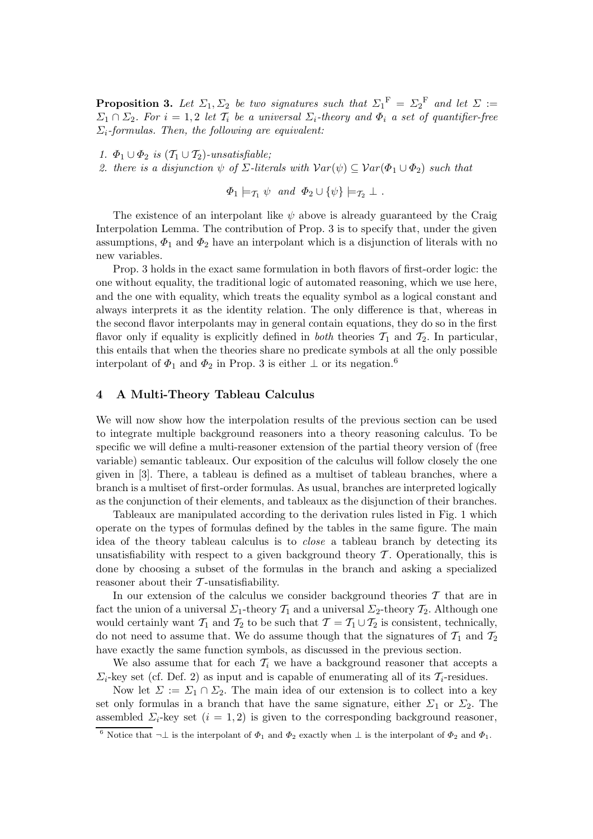**Proposition 3.** Let  $\Sigma_1, \Sigma_2$  be two signatures such that  $\Sigma_1^{\text{F}} = \Sigma_2^{\text{F}}$  and let  $\Sigma :=$  $\Sigma_1 \cap \Sigma_2$ . For  $i = 1, 2$  let  $\mathcal{T}_i$  be a universal  $\Sigma_i$ -theory and  $\Phi_i$  a set of quantifier-free  $\Sigma_i$ -formulas. Then, the following are equivalent:

1.  $\Phi_1 \cup \Phi_2$  is  $(\mathcal{T}_1 \cup \mathcal{T}_2)$ -unsatisfiable;

2. there is a disjunction  $\psi$  of  $\Sigma$ -literals with  $Var(\psi) \subseteq Var(\Phi_1 \cup \Phi_2)$  such that

 $\Phi_1 \models_{\mathcal{T}_1} \psi$  and  $\Phi_2 \cup {\psi} \models_{\mathcal{T}_2} \bot$ .

The existence of an interpolant like  $\psi$  above is already guaranteed by the Craig Interpolation Lemma. The contribution of Prop. 3 is to specify that, under the given assumptions,  $\Phi_1$  and  $\Phi_2$  have an interpolant which is a disjunction of literals with no new variables.

Prop. 3 holds in the exact same formulation in both flavors of first-order logic: the one without equality, the traditional logic of automated reasoning, which we use here, and the one with equality, which treats the equality symbol as a logical constant and always interprets it as the identity relation. The only difference is that, whereas in the second flavor interpolants may in general contain equations, they do so in the first flavor only if equality is explicitly defined in *both* theories  $\mathcal{T}_1$  and  $\mathcal{T}_2$ . In particular, this entails that when the theories share no predicate symbols at all the only possible interpolant of  $\Phi_1$  and  $\Phi_2$  in Prop. 3 is either  $\perp$  or its negation.<sup>6</sup>

#### 4 A Multi-Theory Tableau Calculus

We will now show how the interpolation results of the previous section can be used to integrate multiple background reasoners into a theory reasoning calculus. To be specific we will define a multi-reasoner extension of the partial theory version of (free variable) semantic tableaux. Our exposition of the calculus will follow closely the one given in [3]. There, a tableau is defined as a multiset of tableau branches, where a branch is a multiset of first-order formulas. As usual, branches are interpreted logically as the conjunction of their elements, and tableaux as the disjunction of their branches.

Tableaux are manipulated according to the derivation rules listed in Fig. 1 which operate on the types of formulas defined by the tables in the same figure. The main idea of the theory tableau calculus is to close a tableau branch by detecting its unsatisfiability with respect to a given background theory  $\mathcal T$ . Operationally, this is done by choosing a subset of the formulas in the branch and asking a specialized reasoner about their  $\mathcal T$ -unsatisfiability.

In our extension of the calculus we consider background theories  $\mathcal T$  that are in fact the union of a universal  $\Sigma_1$ -theory  $\mathcal{T}_1$  and a universal  $\Sigma_2$ -theory  $\mathcal{T}_2$ . Although one would certainly want  $\mathcal{T}_1$  and  $\mathcal{T}_2$  to be such that  $\mathcal{T} = \mathcal{T}_1 \cup \mathcal{T}_2$  is consistent, technically, do not need to assume that. We do assume though that the signatures of  $\mathcal{T}_1$  and  $\mathcal{T}_2$ have exactly the same function symbols, as discussed in the previous section.

We also assume that for each  $\mathcal{T}_i$  we have a background reasoner that accepts a  $\Sigma_i$ -key set (cf. Def. 2) as input and is capable of enumerating all of its  $\mathcal{T}_i$ -residues.

Now let  $\Sigma := \Sigma_1 \cap \Sigma_2$ . The main idea of our extension is to collect into a key set only formulas in a branch that have the same signature, either  $\Sigma_1$  or  $\Sigma_2$ . The assembled  $\Sigma_i$ -key set  $(i = 1, 2)$  is given to the corresponding background reasoner,

<sup>&</sup>lt;sup>6</sup> Notice that  $\neg \bot$  is the interpolant of  $\Phi_1$  and  $\Phi_2$  exactly when  $\bot$  is the interpolant of  $\Phi_2$  and  $\Phi_1$ .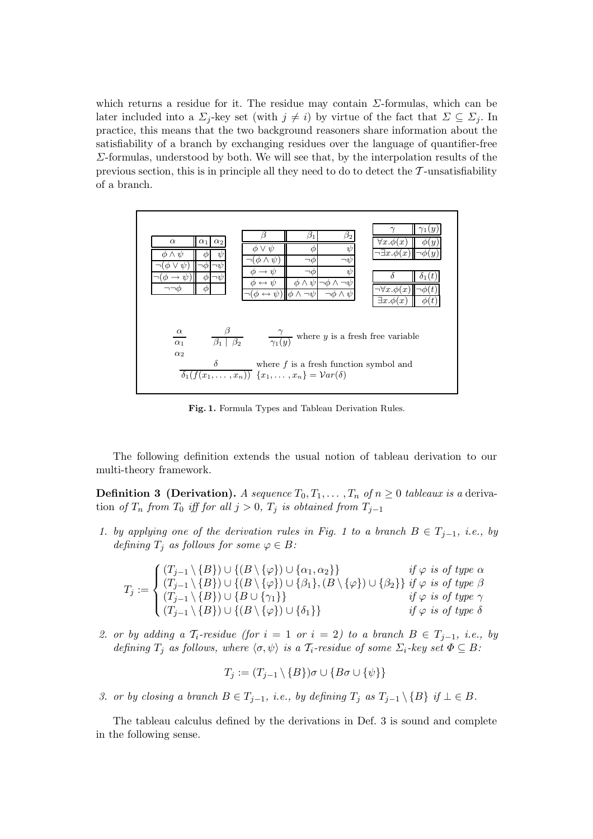which returns a residue for it. The residue may contain  $\Sigma$ -formulas, which can be later included into a  $\Sigma_j$ -key set (with  $j \neq i$ ) by virtue of the fact that  $\Sigma \subseteq \Sigma_j$ . In practice, this means that the two background reasoners share information about the satisfiability of a branch by exchanging residues over the language of quantifier-free Σ-formulas, understood by both. We will see that, by the interpolation results of the previous section, this is in principle all they need to do to detect the  $\mathcal{T}$ -unsatisfiability of a branch.



Fig. 1. Formula Types and Tableau Derivation Rules.

The following definition extends the usual notion of tableau derivation to our multi-theory framework.

**Definition 3 (Derivation).** A sequence  $T_0, T_1, \ldots, T_n$  of  $n \geq 0$  tableaux is a derivation of  $T_n$  from  $T_0$  iff for all  $j > 0$ ,  $T_j$  is obtained from  $T_{j-1}$ 

1. by applying one of the derivation rules in Fig. 1 to a branch  $B \in T_{i-1}$ , i.e., by defining  $T_j$  as follows for some  $\varphi \in B$ :

$$
T_j := \begin{cases} (T_{j-1} \setminus \{B\}) \cup \{(B \setminus \{\varphi\}) \cup \{\alpha_1, \alpha_2\}\} & \text{if } \varphi \text{ is of type } \alpha \\ (T_{j-1} \setminus \{B\}) \cup \{(B \setminus \{\varphi\}) \cup \{\beta_1\}, (B \setminus \{\varphi\}) \cup \{\beta_2\}\} & \text{if } \varphi \text{ is of type } \beta \\ (T_{j-1} \setminus \{B\}) \cup \{B \cup \{\gamma_1\}\} & \text{if } \varphi \text{ is of type } \gamma \\ (T_{j-1} \setminus \{B\}) \cup \{(B \setminus \{\varphi\}) \cup \{\delta_1\}\} & \text{if } \varphi \text{ is of type } \delta \end{cases}
$$

2. or by adding a  $\mathcal{T}_i$ -residue (for  $i = 1$  or  $i = 2$ ) to a branch  $B \in \mathcal{T}_{j-1}$ , i.e., by defining  $T_i$  as follows, where  $\langle \sigma, \psi \rangle$  is a  $\mathcal{T}_i$ -residue of some  $\Sigma_i$ -key set  $\Phi \subseteq B$ :

$$
T_j := (T_{j-1} \setminus \{B\}) \sigma \cup \{B \sigma \cup \{\psi\}\}\
$$

3. or by closing a branch  $B \in T_{j-1}$ , i.e., by defining  $T_j$  as  $T_{j-1} \setminus \{B\}$  if  $\bot \in B$ .

The tableau calculus defined by the derivations in Def. 3 is sound and complete in the following sense.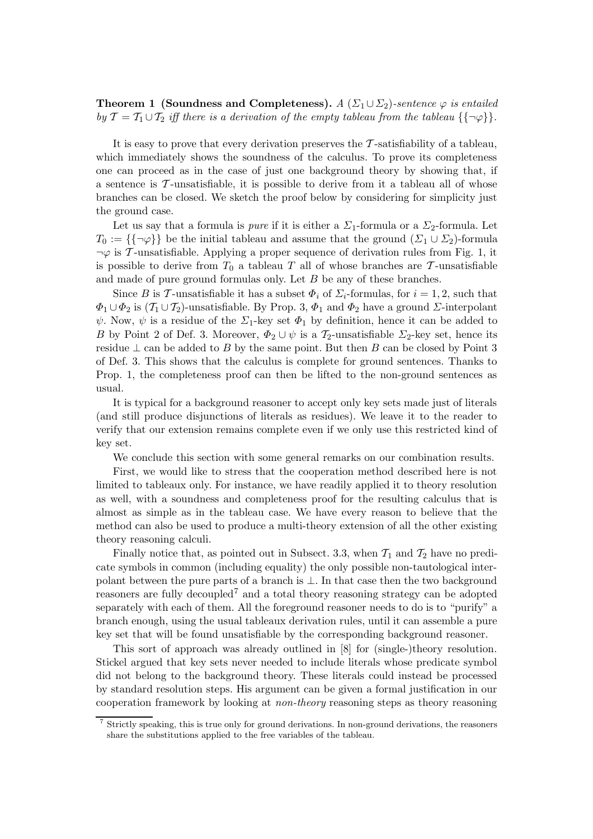**Theorem 1 (Soundness and Completeness).** A  $(\Sigma_1 \cup \Sigma_2)$ -sentence  $\varphi$  is entailed by  $\mathcal{T} = \mathcal{T}_1 \cup \mathcal{T}_2$  iff there is a derivation of the empty tableau from the tableau  $\{\neg \varphi\}$ .

It is easy to prove that every derivation preserves the  $\mathcal{T}$ -satisfiability of a tableau, which immediately shows the soundness of the calculus. To prove its completeness one can proceed as in the case of just one background theory by showing that, if a sentence is  $\mathcal{T}$ -unsatisfiable, it is possible to derive from it a tableau all of whose branches can be closed. We sketch the proof below by considering for simplicity just the ground case.

Let us say that a formula is *pure* if it is either a  $\Sigma_1$ -formula or a  $\Sigma_2$ -formula. Let  $T_0 := \{\{\neg \varphi\}\}\$ be the initial tableau and assume that the ground  $(\Sigma_1 \cup \Sigma_2)$ -formula  $\neg \varphi$  is T-unsatisfiable. Applying a proper sequence of derivation rules from Fig. 1, it is possible to derive from  $T_0$  a tableau T all of whose branches are T-unsatisfiable and made of pure ground formulas only. Let B be any of these branches.

Since B is T-unsatisfiable it has a subset  $\Phi_i$  of  $\Sigma_i$ -formulas, for  $i = 1, 2$ , such that  $\Phi_1 \cup \Phi_2$  is  $(\mathcal{T}_1 \cup \mathcal{T}_2)$ -unsatisfiable. By Prop. 3,  $\Phi_1$  and  $\Phi_2$  have a ground  $\Sigma$ -interpolant  $\psi$ . Now,  $\psi$  is a residue of the  $\Sigma_1$ -key set  $\Phi_1$  by definition, hence it can be added to B by Point 2 of Def. 3. Moreover,  $\Phi_2 \cup \psi$  is a  $\mathcal{T}_2$ -unsatisfiable  $\Sigma_2$ -key set, hence its residue  $\perp$  can be added to B by the same point. But then B can be closed by Point 3 of Def. 3. This shows that the calculus is complete for ground sentences. Thanks to Prop. 1, the completeness proof can then be lifted to the non-ground sentences as usual.

It is typical for a background reasoner to accept only key sets made just of literals (and still produce disjunctions of literals as residues). We leave it to the reader to verify that our extension remains complete even if we only use this restricted kind of key set.

We conclude this section with some general remarks on our combination results.

First, we would like to stress that the cooperation method described here is not limited to tableaux only. For instance, we have readily applied it to theory resolution as well, with a soundness and completeness proof for the resulting calculus that is almost as simple as in the tableau case. We have every reason to believe that the method can also be used to produce a multi-theory extension of all the other existing theory reasoning calculi.

Finally notice that, as pointed out in Subsect. 3.3, when  $\mathcal{T}_1$  and  $\mathcal{T}_2$  have no predicate symbols in common (including equality) the only possible non-tautological interpolant between the pure parts of a branch is ⊥. In that case then the two background reasoners are fully decoupled<sup>7</sup> and a total theory reasoning strategy can be adopted separately with each of them. All the foreground reasoner needs to do is to "purify" a branch enough, using the usual tableaux derivation rules, until it can assemble a pure key set that will be found unsatisfiable by the corresponding background reasoner.

This sort of approach was already outlined in [8] for (single-)theory resolution. Stickel argued that key sets never needed to include literals whose predicate symbol did not belong to the background theory. These literals could instead be processed by standard resolution steps. His argument can be given a formal justification in our cooperation framework by looking at non-theory reasoning steps as theory reasoning

<sup>7</sup> Strictly speaking, this is true only for ground derivations. In non-ground derivations, the reasoners share the substitutions applied to the free variables of the tableau.